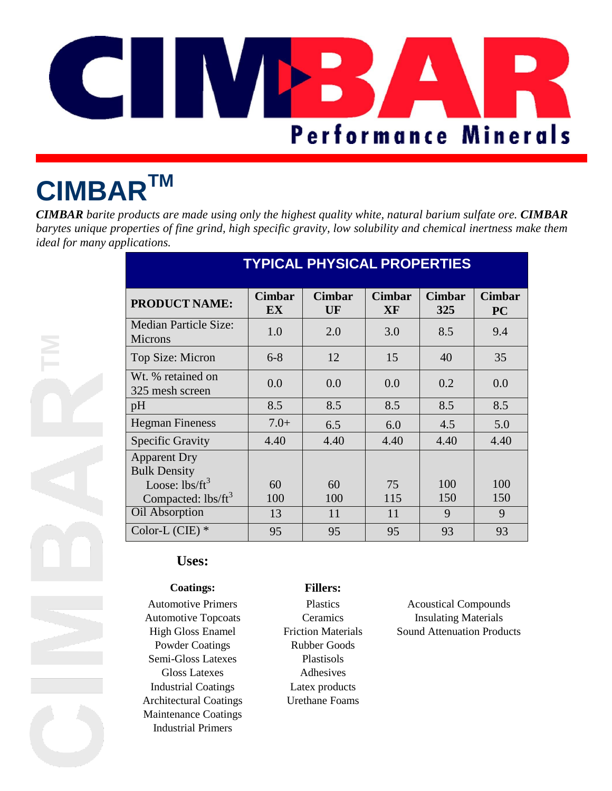

# **CIMBARTM**

*CIMBAR barite products are made using only the highest quality white, natural barium sulfate ore. CIMBAR barytes unique properties of fine grind, high specific gravity, low solubility and chemical inertness make them ideal for many applications.*

| <b>TYPICAL PHYSICAL PROPERTIES</b>         |                            |                     |                     |                      |                            |  |
|--------------------------------------------|----------------------------|---------------------|---------------------|----------------------|----------------------------|--|
| <b>PRODUCT NAME:</b>                       | <b>Cimbar</b><br><b>EX</b> | <b>Cimbar</b><br>UF | <b>Cimbar</b><br>XF | <b>Cimbar</b><br>325 | <b>Cimbar</b><br><b>PC</b> |  |
| <b>Median Particle Size:</b><br>Microns    | 1.0                        | 2.0                 | 3.0                 | 8.5                  | 9.4                        |  |
| Top Size: Micron                           | $6 - 8$                    | 12                  | 15                  | 40                   | 35                         |  |
| Wt. % retained on<br>325 mesh screen       | 0.0                        | 0.0                 | 0.0                 | 0.2                  | 0.0                        |  |
| pH                                         | 8.5                        | 8.5                 | 8.5                 | 8.5                  | 8.5                        |  |
| <b>Hegman Fineness</b>                     | $7.0+$                     | 6.5                 | 6.0                 | 4.5                  | 5.0                        |  |
| <b>Specific Gravity</b>                    | 4.40                       | 4.40                | 4.40                | 4.40                 | 4.40                       |  |
| <b>Apparent Dry</b><br><b>Bulk Density</b> |                            |                     |                     |                      |                            |  |
| Loose: $\text{lbs/ft}^3$                   | 60                         | 60                  | 75                  | 100                  | 100                        |  |
| Compacted: lbs/ft <sup>3</sup>             | 100                        | 100                 | 115                 | 150                  | 150                        |  |
| Oil Absorption                             | 13                         | 11                  | 11                  | 9                    | 9                          |  |
| Color-L $(CIE)$ *                          | 95                         | 95                  | 95                  | 93                   | 93                         |  |

## **Uses:**

### **Coatings: Fillers:**

Powder Coatings Rubber Goods Semi-Gloss Latexes Plastisols Gloss Latexes Adhesives Industrial Coatings Latex products Architectural Coatings Urethane Foams Maintenance Coatings Industrial Primers

Automotive Primers Plastics Acoustical Compounds Automotive Topcoats Ceramics Insulating Materials High Gloss Enamel Friction Materials Sound Attenuation Products